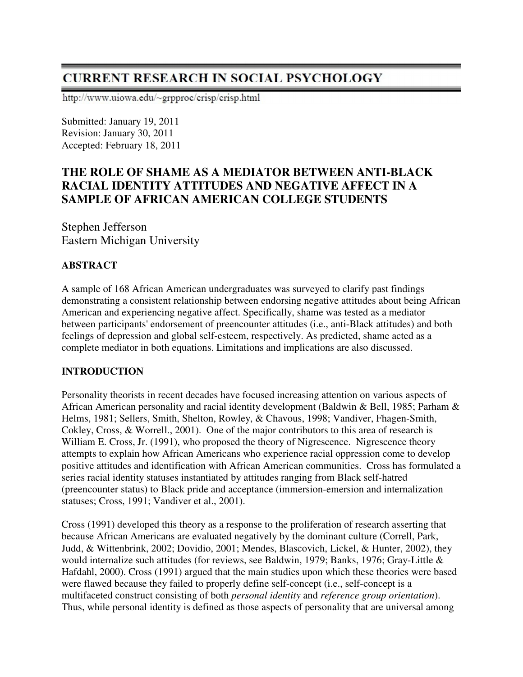# **CURRENT RESEARCH IN SOCIAL PSYCHOLOGY**

http://www.uiowa.edu/~grpproc/crisp/crisp.html

Submitted: January 19, 2011 Revision: January 30, 2011 Accepted: February 18, 2011

## **THE ROLE OF SHAME AS A MEDIATOR BETWEEN ANTI-BLACK RACIAL IDENTITY ATTITUDES AND NEGATIVE AFFECT IN A SAMPLE OF AFRICAN AMERICAN COLLEGE STUDENTS**

Stephen Jefferson Eastern Michigan University

## **ABSTRACT**

A sample of 168 African American undergraduates was surveyed to clarify past findings demonstrating a consistent relationship between endorsing negative attitudes about being African American and experiencing negative affect. Specifically, shame was tested as a mediator between participants' endorsement of preencounter attitudes (i.e., anti-Black attitudes) and both feelings of depression and global self-esteem, respectively. As predicted, shame acted as a complete mediator in both equations. Limitations and implications are also discussed.

#### **INTRODUCTION**

Personality theorists in recent decades have focused increasing attention on various aspects of African American personality and racial identity development (Baldwin & Bell, 1985; Parham & Helms, 1981; Sellers, Smith, Shelton, Rowley, & Chavous, 1998; Vandiver, Fhagen-Smith, Cokley, Cross, & Worrell., 2001). One of the major contributors to this area of research is William E. Cross, Jr. (1991), who proposed the theory of Nigrescence. Nigrescence theory attempts to explain how African Americans who experience racial oppression come to develop positive attitudes and identification with African American communities. Cross has formulated a series racial identity statuses instantiated by attitudes ranging from Black self-hatred (preencounter status) to Black pride and acceptance (immersion-emersion and internalization statuses; Cross, 1991; Vandiver et al., 2001).

Cross (1991) developed this theory as a response to the proliferation of research asserting that because African Americans are evaluated negatively by the dominant culture (Correll, Park, Judd, & Wittenbrink, 2002; Dovidio, 2001; Mendes, Blascovich, Lickel, & Hunter, 2002), they would internalize such attitudes (for reviews, see Baldwin, 1979; Banks, 1976; Gray-Little & Hafdahl, 2000). Cross (1991) argued that the main studies upon which these theories were based were flawed because they failed to properly define self-concept (i.e., self-concept is a multifaceted construct consisting of both *personal identity* and *reference group orientation*). Thus, while personal identity is defined as those aspects of personality that are universal among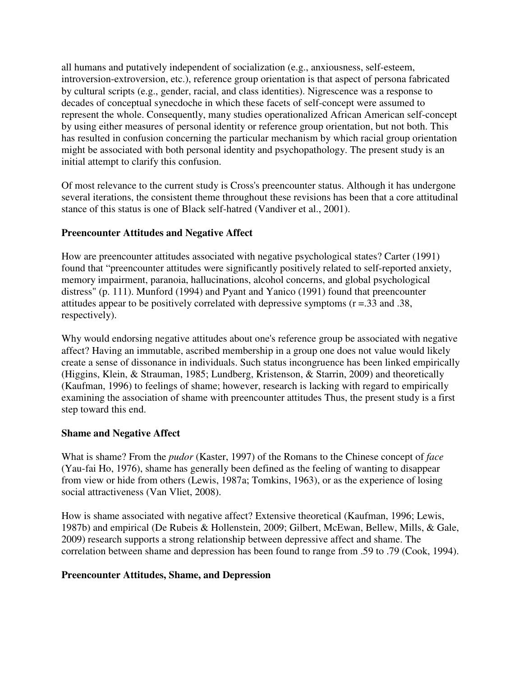all humans and putatively independent of socialization (e.g., anxiousness, self-esteem, introversion-extroversion, etc.), reference group orientation is that aspect of persona fabricated by cultural scripts (e.g., gender, racial, and class identities). Nigrescence was a response to decades of conceptual synecdoche in which these facets of self-concept were assumed to represent the whole. Consequently, many studies operationalized African American self-concept by using either measures of personal identity or reference group orientation, but not both. This has resulted in confusion concerning the particular mechanism by which racial group orientation might be associated with both personal identity and psychopathology. The present study is an initial attempt to clarify this confusion.

Of most relevance to the current study is Cross's preencounter status. Although it has undergone several iterations, the consistent theme throughout these revisions has been that a core attitudinal stance of this status is one of Black self-hatred (Vandiver et al., 2001).

#### **Preencounter Attitudes and Negative Affect**

How are preencounter attitudes associated with negative psychological states? Carter (1991) found that "preencounter attitudes were significantly positively related to self-reported anxiety, memory impairment, paranoia, hallucinations, alcohol concerns, and global psychological distress" (p. 111). Munford (1994) and Pyant and Yanico (1991) found that preencounter attitudes appear to be positively correlated with depressive symptoms (r =.33 and .38, respectively).

Why would endorsing negative attitudes about one's reference group be associated with negative affect? Having an immutable, ascribed membership in a group one does not value would likely create a sense of dissonance in individuals. Such status incongruence has been linked empirically (Higgins, Klein, & Strauman, 1985; Lundberg, Kristenson, & Starrin, 2009) and theoretically (Kaufman, 1996) to feelings of shame; however, research is lacking with regard to empirically examining the association of shame with preencounter attitudes Thus, the present study is a first step toward this end.

#### **Shame and Negative Affect**

What is shame? From the *pudor* (Kaster, 1997) of the Romans to the Chinese concept of *face* (Yau-fai Ho, 1976), shame has generally been defined as the feeling of wanting to disappear from view or hide from others (Lewis, 1987a; Tomkins, 1963), or as the experience of losing social attractiveness (Van Vliet, 2008).

How is shame associated with negative affect? Extensive theoretical (Kaufman, 1996; Lewis, 1987b) and empirical (De Rubeis & Hollenstein, 2009; Gilbert, McEwan, Bellew, Mills, & Gale, 2009) research supports a strong relationship between depressive affect and shame. The correlation between shame and depression has been found to range from .59 to .79 (Cook, 1994).

#### **Preencounter Attitudes, Shame, and Depression**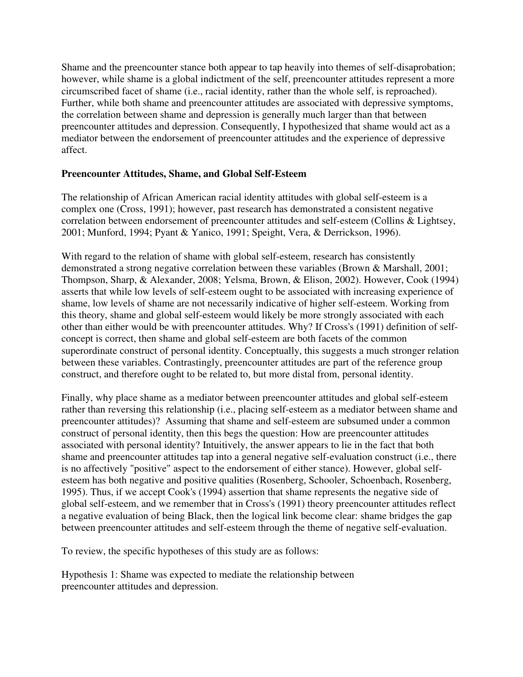Shame and the preencounter stance both appear to tap heavily into themes of self-disaprobation; however, while shame is a global indictment of the self, preencounter attitudes represent a more circumscribed facet of shame (i.e., racial identity, rather than the whole self, is reproached). Further, while both shame and preencounter attitudes are associated with depressive symptoms, the correlation between shame and depression is generally much larger than that between preencounter attitudes and depression. Consequently, I hypothesized that shame would act as a mediator between the endorsement of preencounter attitudes and the experience of depressive affect.

#### **Preencounter Attitudes, Shame, and Global Self-Esteem**

The relationship of African American racial identity attitudes with global self-esteem is a complex one (Cross, 1991); however, past research has demonstrated a consistent negative correlation between endorsement of preencounter attitudes and self-esteem (Collins & Lightsey, 2001; Munford, 1994; Pyant & Yanico, 1991; Speight, Vera, & Derrickson, 1996).

With regard to the relation of shame with global self-esteem, research has consistently demonstrated a strong negative correlation between these variables (Brown & Marshall, 2001; Thompson, Sharp, & Alexander, 2008; Yelsma, Brown, & Elison, 2002). However, Cook (1994) asserts that while low levels of self-esteem ought to be associated with increasing experience of shame, low levels of shame are not necessarily indicative of higher self-esteem. Working from this theory, shame and global self-esteem would likely be more strongly associated with each other than either would be with preencounter attitudes. Why? If Cross's (1991) definition of selfconcept is correct, then shame and global self-esteem are both facets of the common superordinate construct of personal identity. Conceptually, this suggests a much stronger relation between these variables. Contrastingly, preencounter attitudes are part of the reference group construct, and therefore ought to be related to, but more distal from, personal identity.

Finally, why place shame as a mediator between preencounter attitudes and global self-esteem rather than reversing this relationship (i.e., placing self-esteem as a mediator between shame and preencounter attitudes)? Assuming that shame and self-esteem are subsumed under a common construct of personal identity, then this begs the question: How are preencounter attitudes associated with personal identity? Intuitively, the answer appears to lie in the fact that both shame and preencounter attitudes tap into a general negative self-evaluation construct (i.e., there is no affectively "positive" aspect to the endorsement of either stance). However, global selfesteem has both negative and positive qualities (Rosenberg, Schooler, Schoenbach, Rosenberg, 1995). Thus, if we accept Cook's (1994) assertion that shame represents the negative side of global self-esteem, and we remember that in Cross's (1991) theory preencounter attitudes reflect a negative evaluation of being Black, then the logical link become clear: shame bridges the gap between preencounter attitudes and self-esteem through the theme of negative self-evaluation.

To review, the specific hypotheses of this study are as follows:

Hypothesis 1: Shame was expected to mediate the relationship between preencounter attitudes and depression.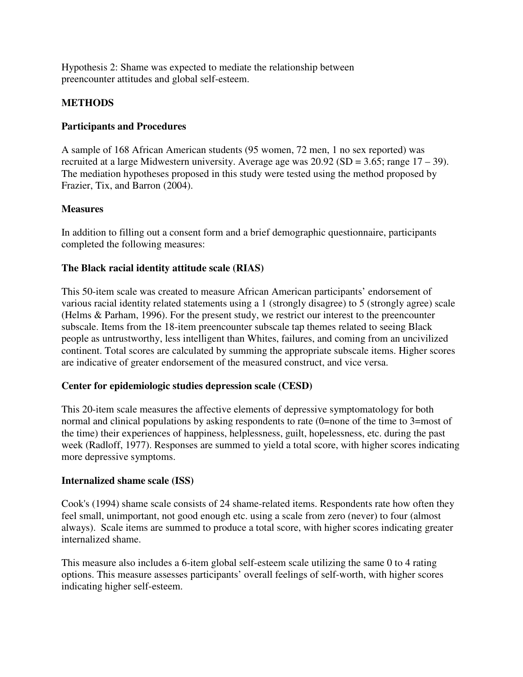Hypothesis 2: Shame was expected to mediate the relationship between preencounter attitudes and global self-esteem.

## **METHODS**

## **Participants and Procedures**

A sample of 168 African American students (95 women, 72 men, 1 no sex reported) was recruited at a large Midwestern university. Average age was  $20.92$  (SD = 3.65; range  $17 - 39$ ). The mediation hypotheses proposed in this study were tested using the method proposed by Frazier, Tix, and Barron (2004).

## **Measures**

In addition to filling out a consent form and a brief demographic questionnaire, participants completed the following measures:

## **The Black racial identity attitude scale (RIAS)**

This 50-item scale was created to measure African American participants' endorsement of various racial identity related statements using a 1 (strongly disagree) to 5 (strongly agree) scale (Helms & Parham, 1996). For the present study, we restrict our interest to the preencounter subscale. Items from the 18-item preencounter subscale tap themes related to seeing Black people as untrustworthy, less intelligent than Whites, failures, and coming from an uncivilized continent. Total scores are calculated by summing the appropriate subscale items. Higher scores are indicative of greater endorsement of the measured construct, and vice versa.

#### **Center for epidemiologic studies depression scale (CESD)**

This 20-item scale measures the affective elements of depressive symptomatology for both normal and clinical populations by asking respondents to rate (0=none of the time to 3=most of the time) their experiences of happiness, helplessness, guilt, hopelessness, etc. during the past week (Radloff, 1977). Responses are summed to yield a total score, with higher scores indicating more depressive symptoms.

#### **Internalized shame scale (ISS)**

Cook's (1994) shame scale consists of 24 shame-related items. Respondents rate how often they feel small, unimportant, not good enough etc. using a scale from zero (never) to four (almost always). Scale items are summed to produce a total score, with higher scores indicating greater internalized shame.

This measure also includes a 6-item global self-esteem scale utilizing the same 0 to 4 rating options. This measure assesses participants' overall feelings of self-worth, with higher scores indicating higher self-esteem.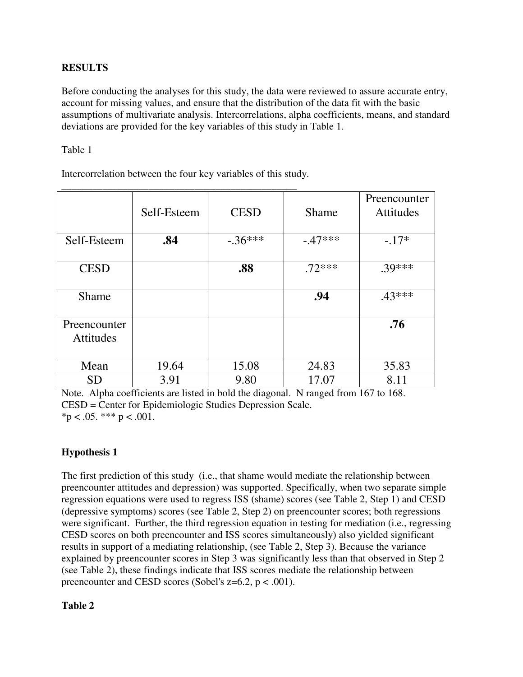## **RESULTS**

Before conducting the analyses for this study, the data were reviewed to assure accurate entry, account for missing values, and ensure that the distribution of the data fit with the basic assumptions of multivariate analysis. Intercorrelations, alpha coefficients, means, and standard deviations are provided for the key variables of this study in Table 1.

Table 1

Intercorrelation between the four key variables of this study.

|              | Self-Esteem | <b>CESD</b> | <b>Shame</b> | Preencounter<br><b>Attitudes</b> |
|--------------|-------------|-------------|--------------|----------------------------------|
| Self-Esteem  | .84         | $-.36***$   | $-.47***$    | $-.17*$                          |
|              |             |             |              |                                  |
| <b>CESD</b>  |             | .88         | $.72***$     | $.39***$                         |
|              |             |             |              |                                  |
| <b>Shame</b> |             |             | .94          | $.43***$                         |
|              |             |             |              |                                  |
| Preencounter |             |             |              | .76                              |
| Attitudes    |             |             |              |                                  |
|              |             |             |              |                                  |
| Mean         | 19.64       | 15.08       | 24.83        | 35.83                            |
| <b>SD</b>    | 3.91        | 9.80        | 17.07        | 8.11                             |

Note. Alpha coefficients are listed in bold the diagonal. N ranged from 167 to 168. CESD = Center for Epidemiologic Studies Depression Scale.  $*<sub>p</sub> < .05.$  \*\*\*  $p < .001.$ 

#### **Hypothesis 1**

The first prediction of this study (i.e., that shame would mediate the relationship between preencounter attitudes and depression) was supported. Specifically, when two separate simple regression equations were used to regress ISS (shame) scores (see Table 2, Step 1) and CESD (depressive symptoms) scores (see Table 2, Step 2) on preencounter scores; both regressions were significant. Further, the third regression equation in testing for mediation (i.e., regressing CESD scores on both preencounter and ISS scores simultaneously) also yielded significant results in support of a mediating relationship, (see Table 2, Step 3). Because the variance explained by preencounter scores in Step 3 was significantly less than that observed in Step 2 (see Table 2), these findings indicate that ISS scores mediate the relationship between preencounter and CESD scores (Sobel's  $z=6.2$ ,  $p < .001$ ).

#### **Table 2**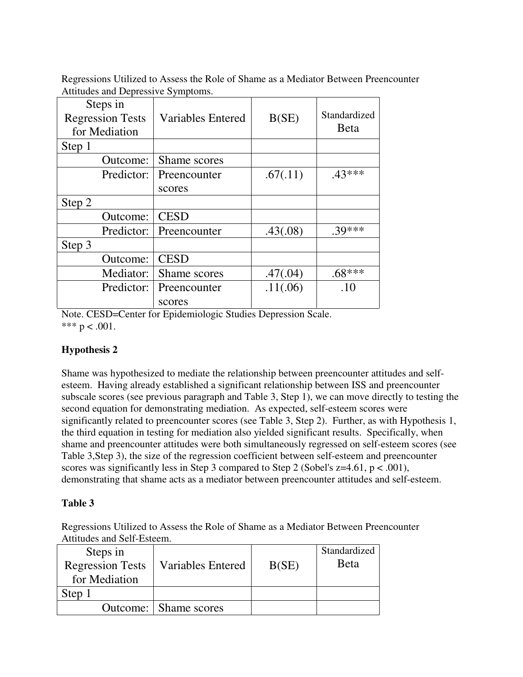Regressions Utilized to Assess the Role of Shame as a Mediator Between Preencounter Attitudes and Depressive Symptoms.

| Steps in<br><b>Regression Tests</b><br>for Mediation | <b>Variables Entered</b> | B(SE)    | Standardized<br><b>B</b> eta |
|------------------------------------------------------|--------------------------|----------|------------------------------|
| Step 1                                               |                          |          |                              |
| Outcome:                                             | Shame scores             |          |                              |
| Predictor:                                           | Preencounter             | .67(.11) | $.43***$                     |
|                                                      | scores                   |          |                              |
| Step 2                                               |                          |          |                              |
| Outcome:                                             | <b>CESD</b>              |          |                              |
| Predictor:                                           | Preencounter             | .43(.08) | $.39***$                     |
| Step 3                                               |                          |          |                              |
| Outcome:                                             | <b>CESD</b>              |          |                              |
| Mediator:                                            | Shame scores             | .47(.04) | $.68***$                     |
| Predictor:                                           | Preencounter             | .11(.06) | .10                          |
|                                                      | scores                   |          |                              |

Note. CESD=Center for Epidemiologic Studies Depression Scale. \*\*\*  $p < .001$ .

## **Hypothesis 2**

Shame was hypothesized to mediate the relationship between preencounter attitudes and selfesteem. Having already established a significant relationship between ISS and preencounter subscale scores (see previous paragraph and Table 3, Step 1), we can move directly to testing the second equation for demonstrating mediation. As expected, self-esteem scores were significantly related to preencounter scores (see Table 3, Step 2). Further, as with Hypothesis 1, the third equation in testing for mediation also yielded significant results. Specifically, when shame and preencounter attitudes were both simultaneously regressed on self-esteem scores (see Table 3,Step 3), the size of the regression coefficient between self-esteem and preencounter scores was significantly less in Step 3 compared to Step 2 (Sobel's  $z=4.61$ ,  $p < .001$ ), demonstrating that shame acts as a mediator between preencounter attitudes and self-esteem.

## **Table 3**

Regressions Utilized to Assess the Role of Shame as a Mediator Between Preencounter Attitudes and Self-Esteem.

| Steps in                |                       |       | Standardized |
|-------------------------|-----------------------|-------|--------------|
| <b>Regression Tests</b> | Variables Entered     | B(SE) | Beta         |
| for Mediation           |                       |       |              |
| Step 1                  |                       |       |              |
|                         | Outcome: Shame scores |       |              |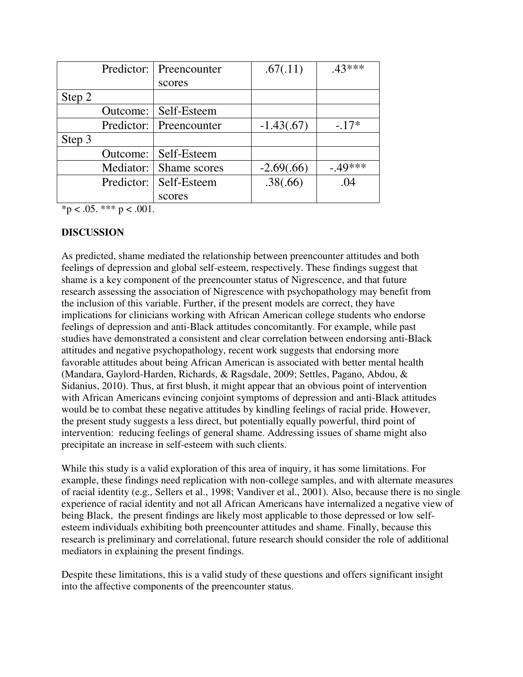|        | Predictor: | Preencounter              | .67(.11)     | $.43***$ |
|--------|------------|---------------------------|--------------|----------|
|        |            | scores                    |              |          |
| Step 2 |            |                           |              |          |
|        | Outcome:   | Self-Esteem               |              |          |
|        |            | Predictor:   Preencounter | $-1.43(.67)$ | $-.17*$  |
| Step 3 |            |                           |              |          |
|        | Outcome:   | Self-Esteem               |              |          |
|        | Mediator:  | Shame scores              | $-2.69(.66)$ | $-49***$ |
|        | Predictor: | Self-Esteem               | .38(.66)     | .04      |
|        |            | scores                    |              |          |

 $*$ p < .05. \*\*\* p < .001.

#### **DISCUSSION**

As predicted, shame mediated the relationship between preencounter attitudes and both feelings of depression and global self-esteem, respectively. These findings suggest that shame is a key component of the preencounter status of Nigrescence, and that future research assessing the association of Nigrescence with psychopathology may benefit from the inclusion of this variable. Further, if the present models are correct, they have implications for clinicians working with African American college students who endorse feelings of depression and anti-Black attitudes concomitantly. For example, while past studies have demonstrated a consistent and clear correlation between endorsing anti-Black attitudes and negative psychopathology, recent work suggests that endorsing more favorable attitudes about being African American is associated with better mental health (Mandara, Gaylord-Harden, Richards, & Ragsdale, 2009; Settles, Pagano, Abdou, & Sidanius, 2010). Thus, at first blush, it might appear that an obvious point of intervention with African Americans evincing conjoint symptoms of depression and anti-Black attitudes would be to combat these negative attitudes by kindling feelings of racial pride. However, the present study suggests a less direct, but potentially equally powerful, third point of intervention: reducing feelings of general shame. Addressing issues of shame might also precipitate an increase in self-esteem with such clients.

While this study is a valid exploration of this area of inquiry, it has some limitations. For example, these findings need replication with non-college samples, and with alternate measures of racial identity (e.g., Sellers et al., 1998; Vandiver et al., 2001). Also, because there is no single experience of racial identity and not all African Americans have internalized a negative view of being Black, the present findings are likely most applicable to those depressed or low selfesteem individuals exhibiting both preencounter attitudes and shame. Finally, because this research is preliminary and correlational, future research should consider the role of additional mediators in explaining the present findings.

Despite these limitations, this is a valid study of these questions and offers significant insight into the affective components of the preencounter status.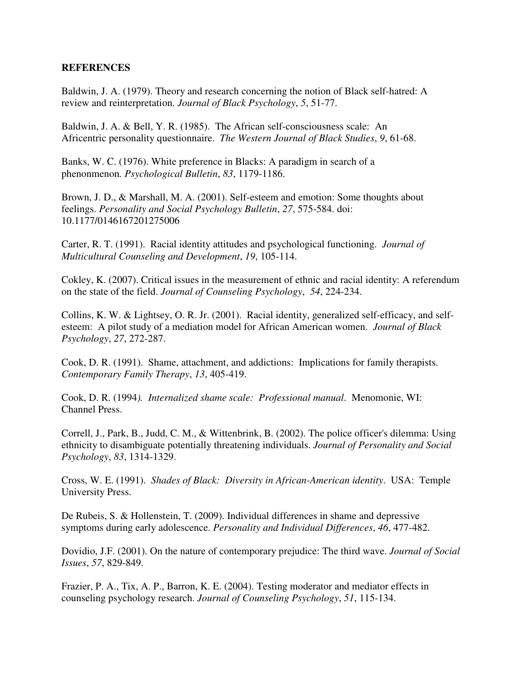#### **REFERENCES**

Baldwin, J. A. (1979). Theory and research concerning the notion of Black self-hatred: A review and reinterpretation. *Journal of Black Psychology*, *5*, 51-77.

Baldwin, J. A. & Bell, Y. R. (1985). The African self-consciousness scale: An Africentric personality questionnaire. *The Western Journal of Black Studies*, *9*, 61-68.

Banks, W. C. (1976). White preference in Blacks: A paradigm in search of a phenonmenon*. Psychological Bulletin*, *83*, 1179-1186.

Brown, J. D., & Marshall, M. A. (2001). Self-esteem and emotion: Some thoughts about feelings. *Personality and Social Psychology Bulletin*, *27*, 575-584. doi: 10.1177/0146167201275006

Carter, R. T. (1991). Racial identity attitudes and psychological functioning. *Journal of Multicultural Counseling and Development*, *19*, 105-114.

Cokley, K. (2007). Critical issues in the measurement of ethnic and racial identity: A referendum on the state of the field. *Journal of Counseling Psychology*, *54*, 224-234.

Collins, K. W. & Lightsey, O. R. Jr. (2001). Racial identity, generalized self-efficacy, and selfesteem: A pilot study of a mediation model for African American women. *Journal of Black Psychology*, *27*, 272-287.

Cook, D. R. (1991). Shame, attachment, and addictions: Implications for family therapists. *Contemporary Family Therapy*, *13*, 405-419.

Cook, D. R. (1994*). Internalized shame scale: Professional manual*. Menomonie, WI: Channel Press.

Correll, J., Park, B., Judd, C. M., & Wittenbrink, B. (2002). The police officer's dilemma: Using ethnicity to disambiguate potentially threatening individuals. *Journal of Personality and Social Psychology*, *83*, 1314-1329.

Cross, W. E. (1991). *Shades of Black: Diversity in African-American identity*. USA: Temple University Press.

De Rubeis, S. & Hollenstein, T. (2009). Individual differences in shame and depressive symptoms during early adolescence. *Personality and Individual Differences*, *46*, 477-482.

Dovidio, J.F. (2001). On the nature of contemporary prejudice: The third wave. *Journal of Social Issues*, *57*, 829-849.

Frazier, P. A., Tix, A. P., Barron, K. E. (2004). Testing moderator and mediator effects in counseling psychology research. *Journal of Counseling Psychology*, *51*, 115-134.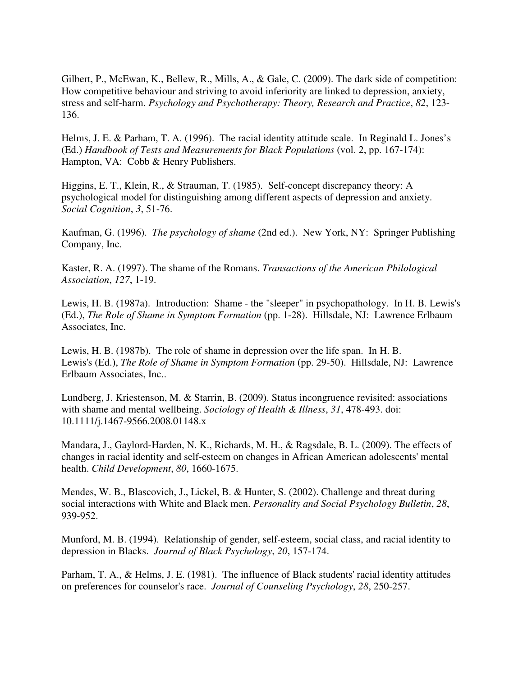Gilbert, P., McEwan, K., Bellew, R., Mills, A., & Gale, C. (2009). The dark side of competition: How competitive behaviour and striving to avoid inferiority are linked to depression, anxiety, stress and self-harm. *Psychology and Psychotherapy: Theory, Research and Practice*, *82*, 123- 136.

Helms, J. E. & Parham, T. A. (1996). The racial identity attitude scale. In Reginald L. Jones's (Ed.) *Handbook of Tests and Measurements for Black Populations* (vol. 2, pp. 167-174): Hampton, VA: Cobb & Henry Publishers.

Higgins, E. T., Klein, R., & Strauman, T. (1985). Self-concept discrepancy theory: A psychological model for distinguishing among different aspects of depression and anxiety. *Social Cognition*, *3*, 51-76.

Kaufman, G. (1996). *The psychology of shame* (2nd ed.). New York, NY: Springer Publishing Company, Inc.

Kaster, R. A. (1997). The shame of the Romans. *Transactions of the American Philological Association*, *127*, 1-19.

Lewis, H. B. (1987a). Introduction: Shame - the "sleeper" in psychopathology. In H. B. Lewis's (Ed.), *The Role of Shame in Symptom Formation* (pp. 1-28). Hillsdale, NJ: Lawrence Erlbaum Associates, Inc.

Lewis, H. B. (1987b). The role of shame in depression over the life span. In H. B. Lewis's (Ed.), *The Role of Shame in Symptom Formation* (pp. 29-50). Hillsdale, NJ: Lawrence Erlbaum Associates, Inc..

Lundberg, J. Kriestenson, M. & Starrin, B. (2009). Status incongruence revisited: associations with shame and mental wellbeing. *Sociology of Health & Illness*, *31*, 478-493. doi: 10.1111/j.1467-9566.2008.01148.x

Mandara, J., Gaylord-Harden, N. K., Richards, M. H., & Ragsdale, B. L. (2009). The effects of changes in racial identity and self-esteem on changes in African American adolescents' mental health. *Child Development*, *80*, 1660-1675.

Mendes, W. B., Blascovich, J., Lickel, B. & Hunter, S. (2002). Challenge and threat during social interactions with White and Black men. *Personality and Social Psychology Bulletin*, *28*, 939-952.

Munford, M. B. (1994). Relationship of gender, self-esteem, social class, and racial identity to depression in Blacks. *Journal of Black Psychology*, *20*, 157-174.

Parham, T. A., & Helms, J. E. (1981). The influence of Black students' racial identity attitudes on preferences for counselor's race. *Journal of Counseling Psychology*, *28*, 250-257.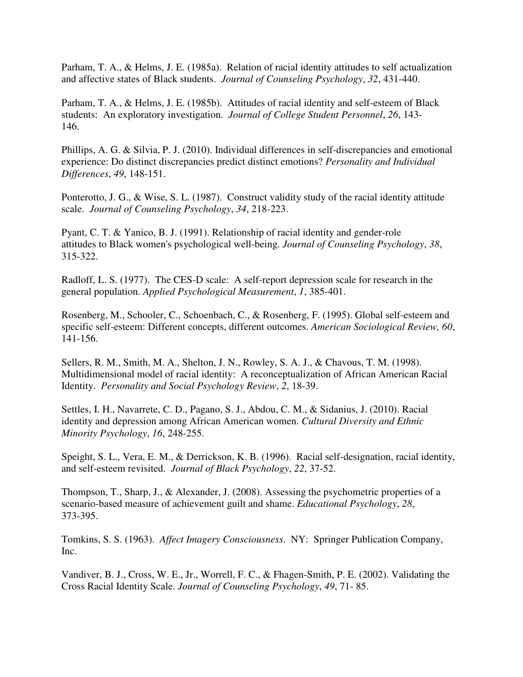Parham, T. A., & Helms, J. E. (1985a). Relation of racial identity attitudes to self actualization and affective states of Black students. *Journal of Counseling Psychology*, *32*, 431-440.

Parham, T. A., & Helms, J. E. (1985b). Attitudes of racial identity and self-esteem of Black students: An exploratory investigation*. Journal of College Student Personnel*, *26*, 143- 146.

Phillips, A. G. & Silvia, P. J. (2010). Individual differences in self-discrepancies and emotional experience: Do distinct discrepancies predict distinct emotions? *Personality and Individual Differences*, *49*, 148-151.

Ponterotto, J. G., & Wise, S. L. (1987). Construct validity study of the racial identity attitude scale. *Journal of Counseling Psychology*, *34*, 218-223.

Pyant, C. T. & Yanico, B. J. (1991). Relationship of racial identity and gender-role attitudes to Black women's psychological well-being. *Journal of Counseling Psychology*, *38*, 315-322.

Radloff, L. S. (1977). The CES-D scale: A self-report depression scale for research in the general population. *Applied Psychological Measurement*, *1*, 385-401.

Rosenberg, M., Schooler, C., Schoenbach, C., & Rosenberg, F. (1995). Global self-esteem and specific self-esteem: Different concepts, different outcomes. *American Sociological Review, 60*, 141-156.

Sellers, R. M., Smith, M. A., Shelton, J. N., Rowley, S. A. J., & Chavous, T. M. (1998). Multidimensional model of racial identity: A reconceptualization of African American Racial Identity. *Personality and Social Psychology Review*, *2*, 18-39.

Settles, I. H., Navarrete, C. D., Pagano, S. J., Abdou, C. M., & Sidanius, J. (2010). Racial identity and depression among African American women. *Cultural Diversity and Ethnic Minority Psychology*, *16*, 248-255.

Speight, S. L., Vera, E. M., & Derrickson, K. B. (1996). Racial self-designation, racial identity, and self-esteem revisited. *Journal of Black Psychology*, *22*, 37-52.

Thompson, T., Sharp, J., & Alexander, J. (2008). Assessing the psychometric properties of a scenario-based measure of achievement guilt and shame. *Educational Psychology*, *28*, 373-395.

Tomkins, S. S. (1963). *Affect Imagery Consciousness*. NY: Springer Publication Company, Inc.

Vandiver, B. J., Cross, W. E., Jr., Worrell, F. C., & Fhagen-Smith, P. E. (2002). Validating the Cross Racial Identity Scale. *Journal of Counseling Psychology*, *49*, 71- 85.